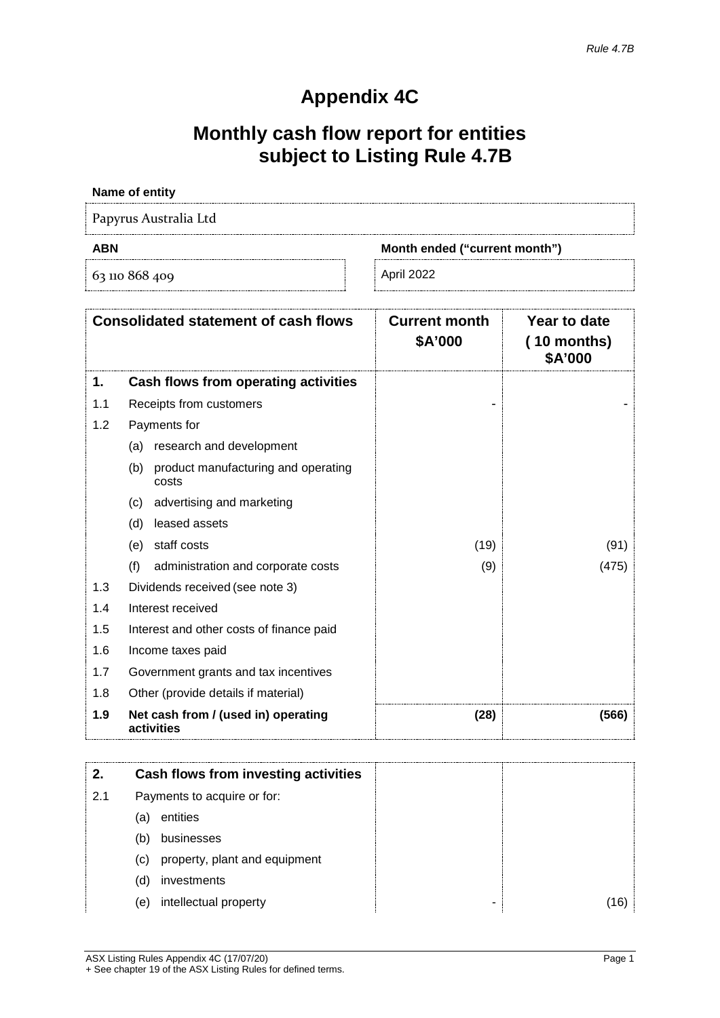# **Appendix 4C**

# **Monthly cash flow report for entities subject to Listing Rule 4.7B**

### **Name of entity**

Papyrus Australia Ltd

63 110 868 409 April 2022

**ABN Month ended ("current month")**

| <b>Consolidated statement of cash flows</b> |                                                     | <b>Current month</b><br>\$A'000 | Year to date<br>$(10$ months)<br>\$A'000 |
|---------------------------------------------|-----------------------------------------------------|---------------------------------|------------------------------------------|
| 1.                                          | Cash flows from operating activities                |                                 |                                          |
| 1.1                                         | Receipts from customers                             |                                 |                                          |
| 1.2                                         | Payments for                                        |                                 |                                          |
|                                             | research and development<br>(a)                     |                                 |                                          |
|                                             | (b)<br>product manufacturing and operating<br>costs |                                 |                                          |
|                                             | advertising and marketing<br>(c)                    |                                 |                                          |
|                                             | leased assets<br>(d)                                |                                 |                                          |
|                                             | staff costs<br>(e)                                  | (19)                            | (91)                                     |
|                                             | (f)<br>administration and corporate costs           | (9)                             | (475)                                    |
| 1.3                                         | Dividends received (see note 3)                     |                                 |                                          |
| 1.4                                         | Interest received                                   |                                 |                                          |
| 1.5                                         | Interest and other costs of finance paid            |                                 |                                          |
| 1.6                                         | Income taxes paid                                   |                                 |                                          |
| 1.7                                         | Government grants and tax incentives                |                                 |                                          |
| 1.8                                         | Other (provide details if material)                 |                                 |                                          |
| 1.9                                         | Net cash from / (used in) operating<br>activities   | (28)                            | (566)                                    |

|     |     | Cash flows from investing activities |  |
|-----|-----|--------------------------------------|--|
| 2.1 |     | Payments to acquire or for:          |  |
|     | (a) | entities                             |  |
|     | (b) | businesses                           |  |
|     | (c) | property, plant and equipment        |  |
|     | (d) | investments                          |  |
|     | (e) | intellectual property                |  |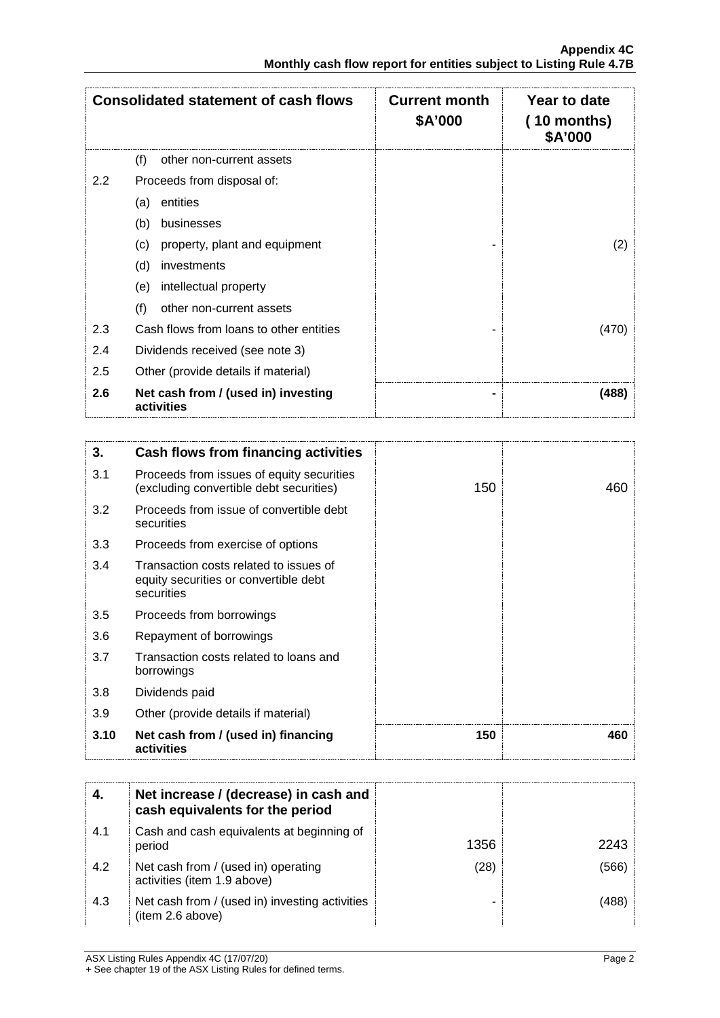| <b>Consolidated statement of cash flows</b> |                                                   | <b>Current month</b><br>\$A'000 | Year to date<br>$(10$ months)<br>\$A'000 |
|---------------------------------------------|---------------------------------------------------|---------------------------------|------------------------------------------|
|                                             | (f)<br>other non-current assets                   |                                 |                                          |
| 2.2                                         | Proceeds from disposal of:                        |                                 |                                          |
|                                             | entities<br>(a)                                   |                                 |                                          |
|                                             | (b)<br>businesses                                 |                                 |                                          |
|                                             | property, plant and equipment<br>(c)              |                                 | 2)                                       |
|                                             | (d)<br>investments                                |                                 |                                          |
|                                             | intellectual property<br>(e)                      |                                 |                                          |
|                                             | (f)<br>other non-current assets                   |                                 |                                          |
| 2.3                                         | Cash flows from loans to other entities           |                                 | (470)                                    |
| 2.4                                         | Dividends received (see note 3)                   |                                 |                                          |
| 2.5                                         | Other (provide details if material)               |                                 |                                          |
| 2.6                                         | Net cash from / (used in) investing<br>activities |                                 | (488)                                    |

| 3.   | Cash flows from financing activities                                                          |     |     |
|------|-----------------------------------------------------------------------------------------------|-----|-----|
| 3.1  | Proceeds from issues of equity securities<br>(excluding convertible debt securities)          | 150 | 460 |
| 3.2  | Proceeds from issue of convertible debt<br>securities                                         |     |     |
| 3.3  | Proceeds from exercise of options                                                             |     |     |
| 3.4  | Transaction costs related to issues of<br>equity securities or convertible debt<br>securities |     |     |
| 3.5  | Proceeds from borrowings                                                                      |     |     |
| 3.6  | Repayment of borrowings                                                                       |     |     |
| 3.7  | Transaction costs related to loans and<br>borrowings                                          |     |     |
| 3.8  | Dividends paid                                                                                |     |     |
| 3.9  | Other (provide details if material)                                                           |     |     |
| 3.10 | Net cash from / (used in) financing<br>activities                                             | 150 | 460 |

|     | Net increase / (decrease) in cash and<br>cash equivalents for the period |      |      |
|-----|--------------------------------------------------------------------------|------|------|
| 4.1 | Cash and cash equivalents at beginning of<br>period                      | 1356 | 2243 |
| 4.2 | Net cash from / (used in) operating<br>activities (item 1.9 above)       | (28) | 566' |
| 4.3 | Net cash from / (used in) investing activities<br>(item 2.6 above)       |      |      |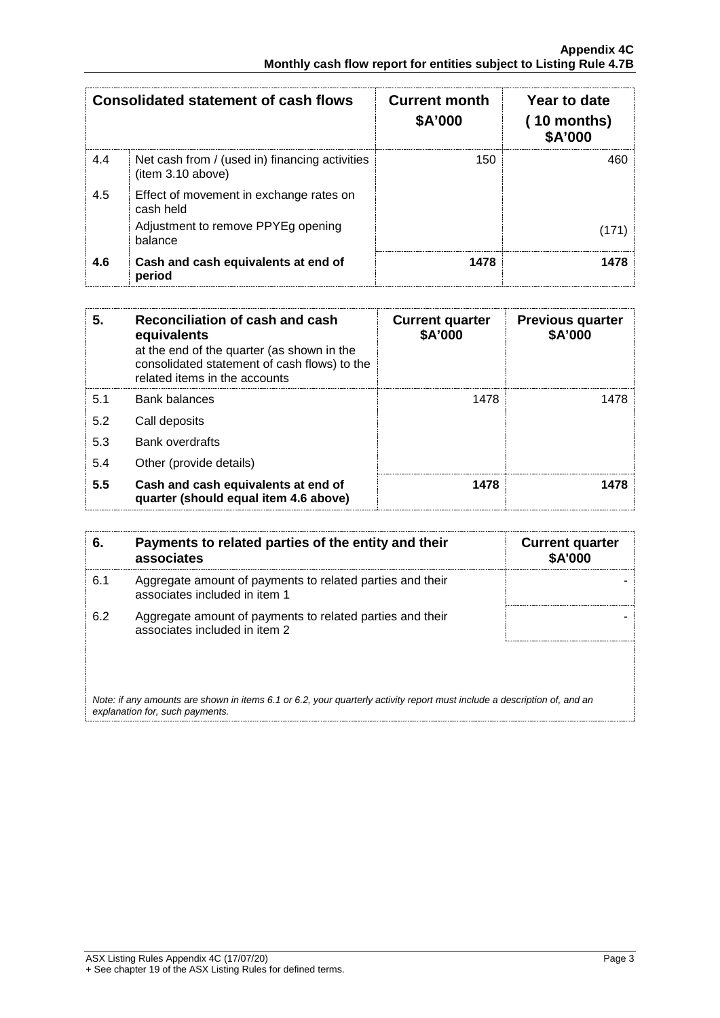| <b>Consolidated statement of cash flows</b> |                                                                     | <b>Current month</b><br>\$A'000 | Year to date<br>$(10$ months)<br><b>\$A'000</b> |
|---------------------------------------------|---------------------------------------------------------------------|---------------------------------|-------------------------------------------------|
| 4.4                                         | Net cash from / (used in) financing activities<br>(item 3.10 above) | 150                             |                                                 |
| 4.5                                         | Effect of movement in exchange rates on<br>cash held                |                                 |                                                 |
|                                             | Adjustment to remove PPYEg opening<br>balance                       |                                 |                                                 |
| 4.6                                         | Cash and cash equivalents at end of<br>period                       | 1478                            |                                                 |

| 5.  | Reconciliation of cash and cash<br>equivalents<br>at the end of the quarter (as shown in the<br>consolidated statement of cash flows) to the<br>related items in the accounts | <b>Current quarter</b><br>\$A'000 | <b>Previous quarter</b><br>\$A'000 |
|-----|-------------------------------------------------------------------------------------------------------------------------------------------------------------------------------|-----------------------------------|------------------------------------|
| 5.1 | <b>Bank balances</b>                                                                                                                                                          | 1478                              | 1478                               |
| 5.2 | Call deposits                                                                                                                                                                 |                                   |                                    |
| 5.3 | <b>Bank overdrafts</b>                                                                                                                                                        |                                   |                                    |
| 5.4 | Other (provide details)                                                                                                                                                       |                                   |                                    |
| 5.5 | Cash and cash equivalents at end of<br>quarter (should equal item 4.6 above)                                                                                                  | 1478                              |                                    |

| 6.  | Payments to related parties of the entity and their<br>associates                                                                                           | <b>Current quarter</b><br><b>\$A'000</b> |
|-----|-------------------------------------------------------------------------------------------------------------------------------------------------------------|------------------------------------------|
| 6.1 | Aggregate amount of payments to related parties and their<br>associates included in item 1                                                                  |                                          |
| 6.2 | Aggregate amount of payments to related parties and their<br>associates included in item 2                                                                  |                                          |
|     |                                                                                                                                                             |                                          |
|     | Note: if any amounts are shown in items 6.1 or 6.2, your quarterly activity report must include a description of, and an<br>explanation for, such payments. |                                          |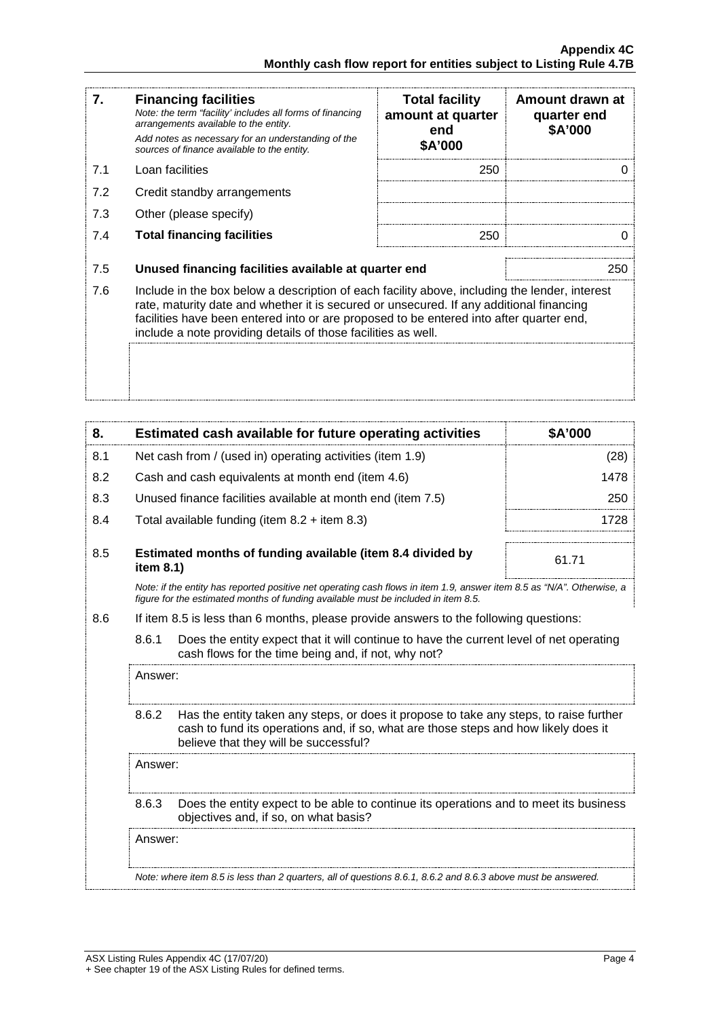| 7.  | <b>Financing facilities</b><br>Note: the term "facility' includes all forms of financing<br>arrangements available to the entity.<br>Add notes as necessary for an understanding of the<br>sources of finance available to the entity.                                                                                                               | <b>Total facility</b><br>amount at quarter<br>end<br>\$A'000 | Amount drawn at<br>quarter end<br>\$A'000 |
|-----|------------------------------------------------------------------------------------------------------------------------------------------------------------------------------------------------------------------------------------------------------------------------------------------------------------------------------------------------------|--------------------------------------------------------------|-------------------------------------------|
| 7.1 | Loan facilities                                                                                                                                                                                                                                                                                                                                      | 250                                                          |                                           |
| 7.2 | Credit standby arrangements                                                                                                                                                                                                                                                                                                                          |                                                              |                                           |
| 7.3 | Other (please specify)                                                                                                                                                                                                                                                                                                                               |                                                              |                                           |
| 7.4 | <b>Total financing facilities</b>                                                                                                                                                                                                                                                                                                                    | 250                                                          |                                           |
| 7.5 | Unused financing facilities available at quarter end                                                                                                                                                                                                                                                                                                 |                                                              | 250                                       |
| 7.6 | Include in the box below a description of each facility above, including the lender, interest<br>rate, maturity date and whether it is secured or unsecured. If any additional financing<br>facilities have been entered into or are proposed to be entered into after quarter end,<br>include a note providing details of those facilities as well. |                                                              |                                           |
|     |                                                                                                                                                                                                                                                                                                                                                      |                                                              |                                           |

| 8.      |                                                                                                                                         | Estimated cash available for future operating activities                                                                                                                                                               | \$A'000 |
|---------|-----------------------------------------------------------------------------------------------------------------------------------------|------------------------------------------------------------------------------------------------------------------------------------------------------------------------------------------------------------------------|---------|
| 8.1     | Net cash from / (used in) operating activities (item 1.9)                                                                               |                                                                                                                                                                                                                        | (28)    |
| 8.2     |                                                                                                                                         | Cash and cash equivalents at month end (item 4.6)                                                                                                                                                                      | 1478    |
| 8.3     |                                                                                                                                         | Unused finance facilities available at month end (item 7.5)                                                                                                                                                            | 250     |
| 8.4     |                                                                                                                                         | Total available funding (item $8.2 +$ item $8.3$ )                                                                                                                                                                     | 1728    |
| 8.5     | item 8.1)                                                                                                                               | Estimated months of funding available (item 8.4 divided by                                                                                                                                                             | 61.71   |
|         |                                                                                                                                         | Note: if the entity has reported positive net operating cash flows in item 1.9, answer item 8.5 as "N/A". Otherwise, a<br>figure for the estimated months of funding available must be included in item 8.5.           |         |
| 8.6     |                                                                                                                                         | If item 8.5 is less than 6 months, please provide answers to the following questions:                                                                                                                                  |         |
|         | 8.6.1                                                                                                                                   | Does the entity expect that it will continue to have the current level of net operating<br>cash flows for the time being and, if not, why not?                                                                         |         |
| Answer: |                                                                                                                                         |                                                                                                                                                                                                                        |         |
|         | 8.6.2                                                                                                                                   | Has the entity taken any steps, or does it propose to take any steps, to raise further<br>cash to fund its operations and, if so, what are those steps and how likely does it<br>believe that they will be successful? |         |
|         | Answer:                                                                                                                                 |                                                                                                                                                                                                                        |         |
|         | 8.6.3<br>Does the entity expect to be able to continue its operations and to meet its business<br>objectives and, if so, on what basis? |                                                                                                                                                                                                                        |         |
|         | Answer:<br>Note: where item 8.5 is less than 2 quarters, all of questions 8.6.1, 8.6.2 and 8.6.3 above must be answered.                |                                                                                                                                                                                                                        |         |
|         |                                                                                                                                         |                                                                                                                                                                                                                        |         |
|         |                                                                                                                                         |                                                                                                                                                                                                                        |         |